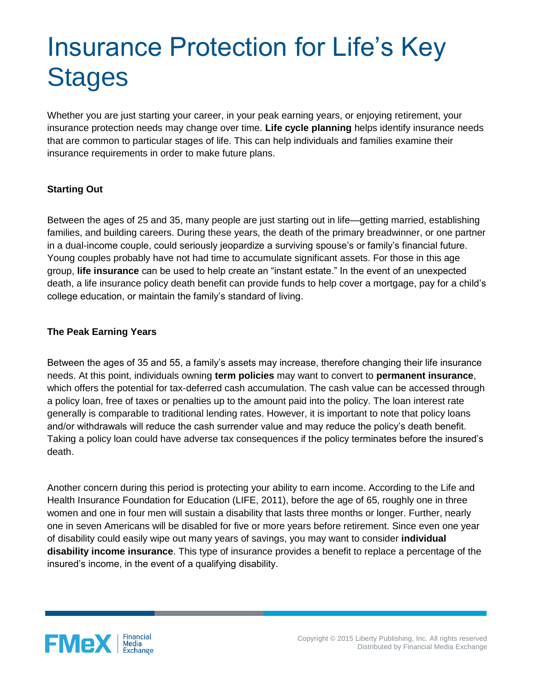# Insurance Protection for Life's Key **Stages**

Whether you are just starting your career, in your peak earning years, or enjoying retirement, your insurance protection needs may change over time. **Life cycle planning** helps identify insurance needs that are common to particular stages of life. This can help individuals and families examine their insurance requirements in order to make future plans.

## **Starting Out**

Between the ages of 25 and 35, many people are just starting out in life—getting married, establishing families, and building careers. During these years, the death of the primary breadwinner, or one partner in a dual-income couple, could seriously jeopardize a surviving spouse's or family's financial future. Young couples probably have not had time to accumulate significant assets. For those in this age group, **life insurance** can be used to help create an "instant estate." In the event of an unexpected death, a life insurance policy death benefit can provide funds to help cover a mortgage, pay for a child's college education, or maintain the family's standard of living.

## **The Peak Earning Years**

Between the ages of 35 and 55, a family's assets may increase, therefore changing their life insurance needs. At this point, individuals owning **term policies** may want to convert to **permanent insurance**, which offers the potential for tax-deferred cash accumulation. The cash value can be accessed through a policy loan, free of taxes or penalties up to the amount paid into the policy. The loan interest rate generally is comparable to traditional lending rates. However, it is important to note that policy loans and/or withdrawals will reduce the cash surrender value and may reduce the policy's death benefit. Taking a policy loan could have adverse tax consequences if the policy terminates before the insured's death.

Another concern during this period is protecting your ability to earn income. According to the Life and Health Insurance Foundation for Education (LIFE, 2011), before the age of 65, roughly one in three women and one in four men will sustain a disability that lasts three months or longer. Further, nearly one in seven Americans will be disabled for five or more years before retirement. Since even one year of disability could easily wipe out many years of savings, you may want to consider **individual disability income insurance**. This type of insurance provides a benefit to replace a percentage of the insured's income, in the event of a qualifying disability.

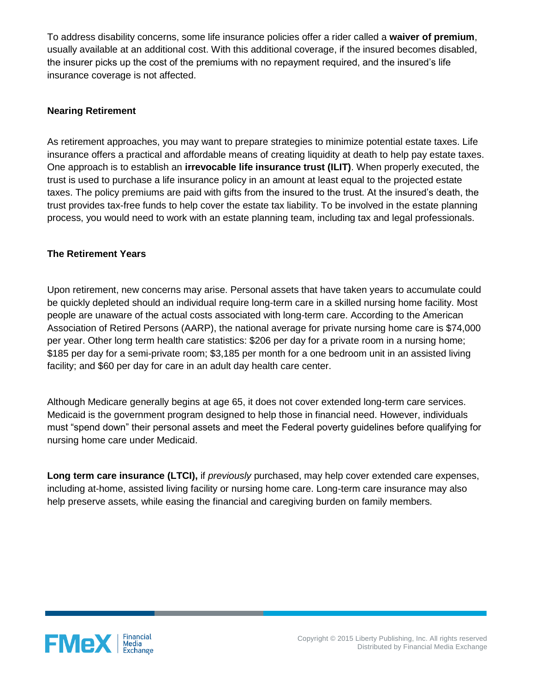To address disability concerns, some life insurance policies offer a rider called a **waiver of premium**, usually available at an additional cost. With this additional coverage, if the insured becomes disabled, the insurer picks up the cost of the premiums with no repayment required, and the insured's life insurance coverage is not affected.

## **Nearing Retirement**

As retirement approaches, you may want to prepare strategies to minimize potential estate taxes. Life insurance offers a practical and affordable means of creating liquidity at death to help pay estate taxes. One approach is to establish an **irrevocable life insurance trust (ILIT)**. When properly executed, the trust is used to purchase a life insurance policy in an amount at least equal to the projected estate taxes. The policy premiums are paid with gifts from the insured to the trust. At the insured's death, the trust provides tax-free funds to help cover the estate tax liability. To be involved in the estate planning process, you would need to work with an estate planning team, including tax and legal professionals.

## **The Retirement Years**

Upon retirement, new concerns may arise. Personal assets that have taken years to accumulate could be quickly depleted should an individual require long-term care in a skilled nursing home facility. Most people are unaware of the actual costs associated with long-term care. According to the American Association of Retired Persons (AARP), the national average for private nursing home care is \$74,000 per year. Other long term health care statistics: \$206 per day for a private room in a nursing home; \$185 per day for a semi-private room; \$3,185 per month for a one bedroom unit in an assisted living facility; and \$60 per day for care in an adult day health care center.

Although Medicare generally begins at age 65, it does not cover extended long-term care services. Medicaid is the government program designed to help those in financial need. However, individuals must "spend down" their personal assets and meet the Federal poverty guidelines before qualifying for nursing home care under Medicaid.

Long term care insurance (LTCI), if *previously* purchased, may help cover extended care expenses, including at-home, assisted living facility or nursing home care. Long-term care insurance may also help preserve assets, while easing the financial and caregiving burden on family members.